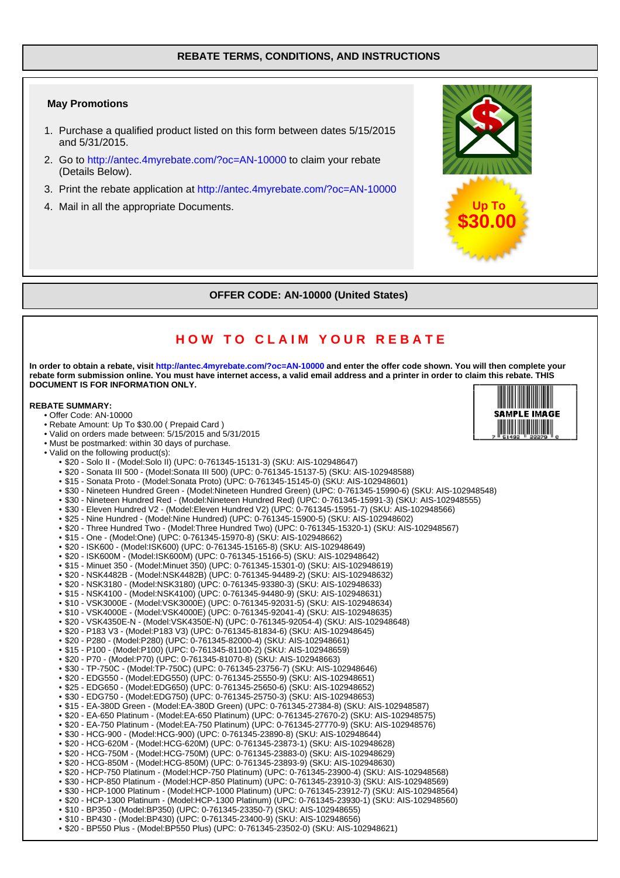### **REBATE TERMS, CONDITIONS, AND INSTRUCTIONS**

#### **May Promotions**

- 1. Purchase a qualified product listed on this form between dates 5/15/2015 and 5/31/2015.
- 2. Go to http://antec.4myrebate.com/?oc=AN-10000 to claim your rebate (Details Below).
- 3. Print the rebate application at http://antec.4myrebate.com/?oc=AN-10000
- 4. Mail in all the appropriate Documents.



# **OFFER CODE: AN-10000 (United States)**

# **HOW TO CLAIM YOUR REBATE**

**In order to obtain a rebate, visit http://antec.4myrebate.com/?oc=AN-10000 and enter the offer code shown. You will then complete your rebate form submission online. You must have internet access, a valid email address and a printer in order to claim this rebate. THIS DOCUMENT IS FOR INFORMATION ONLY.**